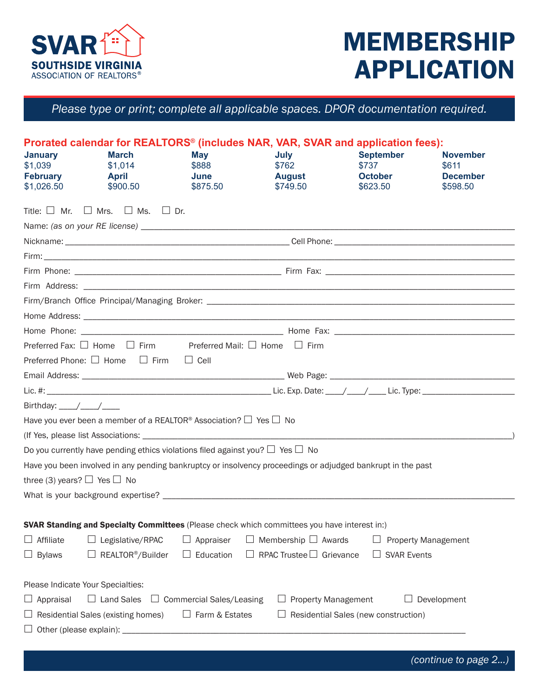

## MEMBERSHIP APPLICATION

*Please type or print; complete all applicable spaces. DPOR documentation required.*

| <b>January</b><br>\$1,039<br><b>February</b><br>\$1,026.50 | <b>March</b><br>\$1,014<br><b>April</b><br>\$900.50                                     | May<br>\$888<br>June<br>\$875.50 | July<br>\$762<br><b>August</b><br>\$749.50                                                   | Prorated calendar for REALTORS <sup>®</sup> (includes NAR, VAR, SVAR and application fees):<br><b>September</b><br>\$737<br><b>October</b><br>\$623.50 | <b>November</b><br>\$611<br><b>December</b><br>\$598.50 |  |
|------------------------------------------------------------|-----------------------------------------------------------------------------------------|----------------------------------|----------------------------------------------------------------------------------------------|--------------------------------------------------------------------------------------------------------------------------------------------------------|---------------------------------------------------------|--|
|                                                            | Title: $\Box$ Mr. $\Box$ Mrs. $\Box$ Ms. $\Box$ Dr.                                     |                                  |                                                                                              |                                                                                                                                                        |                                                         |  |
|                                                            |                                                                                         |                                  |                                                                                              |                                                                                                                                                        |                                                         |  |
|                                                            |                                                                                         |                                  |                                                                                              |                                                                                                                                                        |                                                         |  |
|                                                            |                                                                                         |                                  |                                                                                              |                                                                                                                                                        |                                                         |  |
|                                                            |                                                                                         |                                  |                                                                                              |                                                                                                                                                        |                                                         |  |
|                                                            |                                                                                         |                                  |                                                                                              |                                                                                                                                                        |                                                         |  |
|                                                            |                                                                                         |                                  |                                                                                              |                                                                                                                                                        |                                                         |  |
|                                                            |                                                                                         |                                  |                                                                                              |                                                                                                                                                        |                                                         |  |
|                                                            |                                                                                         |                                  |                                                                                              |                                                                                                                                                        |                                                         |  |
|                                                            | Preferred Fax: $\Box$ Home $\Box$ Firm Preferred Mail: $\Box$ Home $\Box$ Firm          |                                  |                                                                                              |                                                                                                                                                        |                                                         |  |
|                                                            | Preferred Phone: $\Box$ Home $\Box$ Firm $\Box$ Cell                                    |                                  |                                                                                              |                                                                                                                                                        |                                                         |  |
|                                                            |                                                                                         |                                  |                                                                                              |                                                                                                                                                        |                                                         |  |
|                                                            |                                                                                         |                                  |                                                                                              |                                                                                                                                                        |                                                         |  |
| Birthday: $\frac{1}{\sqrt{1-\frac{1}{2}}}$                 |                                                                                         |                                  |                                                                                              |                                                                                                                                                        |                                                         |  |
|                                                            | Have you ever been a member of a REALTOR <sup>®</sup> Association? $\Box$ Yes $\Box$ No |                                  |                                                                                              |                                                                                                                                                        |                                                         |  |
|                                                            |                                                                                         |                                  |                                                                                              |                                                                                                                                                        |                                                         |  |
|                                                            | Do you currently have pending ethics violations filed against you? $\Box$ Yes $\Box$ No |                                  |                                                                                              |                                                                                                                                                        |                                                         |  |
|                                                            |                                                                                         |                                  |                                                                                              | Have you been involved in any pending bankruptcy or insolvency proceedings or adjudged bankrupt in the past                                            |                                                         |  |
| three (3) years? $\Box$ Yes $\Box$ No                      |                                                                                         |                                  |                                                                                              |                                                                                                                                                        |                                                         |  |
|                                                            |                                                                                         |                                  |                                                                                              |                                                                                                                                                        |                                                         |  |
|                                                            |                                                                                         |                                  |                                                                                              |                                                                                                                                                        |                                                         |  |
|                                                            |                                                                                         |                                  | SVAR Standing and Specialty Committees (Please check which committees you have interest in:) |                                                                                                                                                        |                                                         |  |
| $\Box$ Affiliate                                           | $\Box$ Legislative/RPAC                                                                 | $\Box$ Appraiser                 | $\Box$ Membership $\Box$ Awards                                                              |                                                                                                                                                        | <b>Property Management</b>                              |  |
| $\Box$ Bylaws                                              | $\Box$ REALTOR <sup>®</sup> /Builder                                                    | $\Box$ Education                 | $\Box$ RPAC Trustee $\Box$ Grievance                                                         | <b>SVAR Events</b>                                                                                                                                     |                                                         |  |
|                                                            | Please Indicate Your Specialties:                                                       |                                  |                                                                                              |                                                                                                                                                        |                                                         |  |
| $\Box$ Appraisal                                           | $\Box$ Land Sales                                                                       | □ Commercial Sales/Leasing       | <b>Property Management</b><br>ப                                                              |                                                                                                                                                        | $\Box$ Development                                      |  |
|                                                            | $\Box$ Residential Sales (existing homes)                                               | □ Farm & Estates                 |                                                                                              | Residential Sales (new construction)                                                                                                                   |                                                         |  |
|                                                            | $\Box$ Other (please explain): ____                                                     |                                  |                                                                                              |                                                                                                                                                        |                                                         |  |